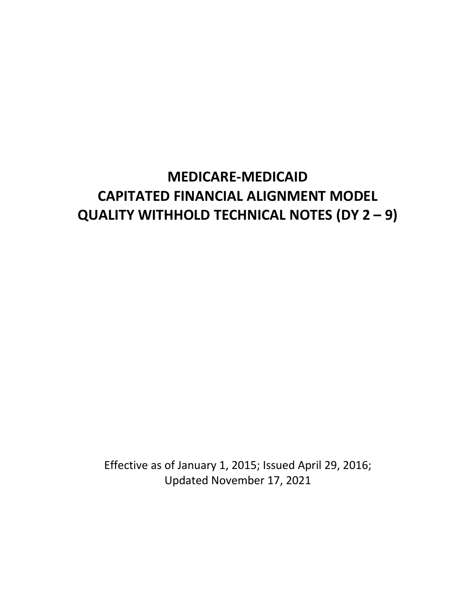# **MEDICARE-MEDICAID CAPITATED FINANCIAL ALIGNMENT MODEL QUALITY WITHHOLD TECHNICAL NOTES (DY 2 – 9)**

Effective as of January 1, 2015; Issued April 29, 2016; Updated November 17, 2021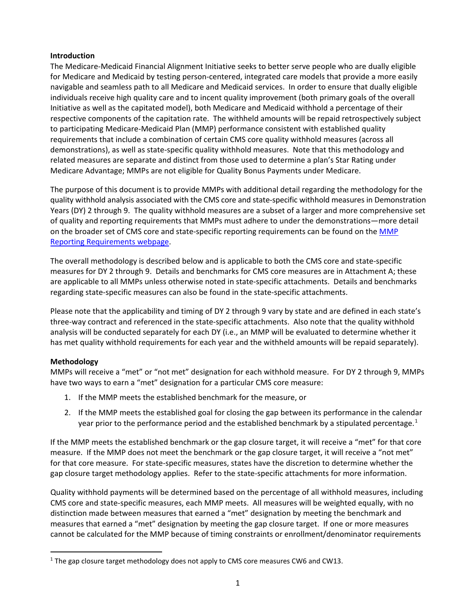## **Introduction**

The Medicare-Medicaid Financial Alignment Initiative seeks to better serve people who are dually eligible for Medicare and Medicaid by testing person-centered, integrated care models that provide a more easily navigable and seamless path to all Medicare and Medicaid services. In order to ensure that dually eligible individuals receive high quality care and to incent quality improvement (both primary goals of the overall Initiative as well as the capitated model), both Medicare and Medicaid withhold a percentage of their respective components of the capitation rate. The withheld amounts will be repaid retrospectively subject to participating Medicare-Medicaid Plan (MMP) performance consistent with established quality requirements that include a combination of certain CMS core quality withhold measures (across all demonstrations), as well as state-specific quality withhold measures. Note that this methodology and related measures are separate and distinct from those used to determine a plan's Star Rating under Medicare Advantage; MMPs are not eligible for Quality Bonus Payments under Medicare.

The purpose of this document is to provide MMPs with additional detail regarding the methodology for the quality withhold analysis associated with the CMS core and state-specific withhold measures in Demonstration Years (DY) 2 through 9. The quality withhold measures are a subset of a larger and more comprehensive set of quality and reporting requirements that MMPs must adhere to under the demonstrations—more detail on the broader set of CMS core and state-specific reporting requirements can be found on the [MMP](https://www.cms.gov/Medicare-Medicaid-Coordination/Medicare-and-Medicaid-Coordination/Medicare-Medicaid-Coordination-Office/FinancialAlignmentInitiative/MMPInformationandGuidance/MMPReportingRequirements.html)  [Reporting Requirements webpage.](https://www.cms.gov/Medicare-Medicaid-Coordination/Medicare-and-Medicaid-Coordination/Medicare-Medicaid-Coordination-Office/FinancialAlignmentInitiative/MMPInformationandGuidance/MMPReportingRequirements.html)

The overall methodology is described below and is applicable to both the CMS core and state-specific measures for DY 2 through 9. Details and benchmarks for CMS core measures are in Attachment A; these are applicable to all MMPs unless otherwise noted in state-specific attachments. Details and benchmarks regarding state-specific measures can also be found in the state-specific attachments.

Please note that the applicability and timing of DY 2 through 9 vary by state and are defined in each state's three-way contract and referenced in the state-specific attachments. Also note that the quality withhold analysis will be conducted separately for each DY (i.e., an MMP will be evaluated to determine whether it has met quality withhold requirements for each year and the withheld amounts will be repaid separately).

## **Methodology**

MMPs will receive a "met" or "not met" designation for each withhold measure. For DY 2 through 9, MMPs have two ways to earn a "met" designation for a particular CMS core measure:

- 1. If the MMP meets the established benchmark for the measure, or
- 2. If the MMP meets the established goal for closing the gap between its performance in the calendar year prior to the performance period and the established benchmark by a stipulated percentage.<sup>[1](#page-1-0)</sup>

If the MMP meets the established benchmark or the gap closure target, it will receive a "met" for that core measure. If the MMP does not meet the benchmark or the gap closure target, it will receive a "not met" for that core measure. For state-specific measures, states have the discretion to determine whether the gap closure target methodology applies. Refer to the state-specific attachments for more information.

Quality withhold payments will be determined based on the percentage of all withhold measures, including CMS core and state-specific measures, each MMP meets. All measures will be weighted equally, with no distinction made between measures that earned a "met" designation by meeting the benchmark and measures that earned a "met" designation by meeting the gap closure target. If one or more measures cannot be calculated for the MMP because of timing constraints or enrollment/denominator requirements

<span id="page-1-0"></span><sup>&</sup>lt;sup>1</sup> The gap closure target methodology does not apply to CMS core measures CW6 and CW13.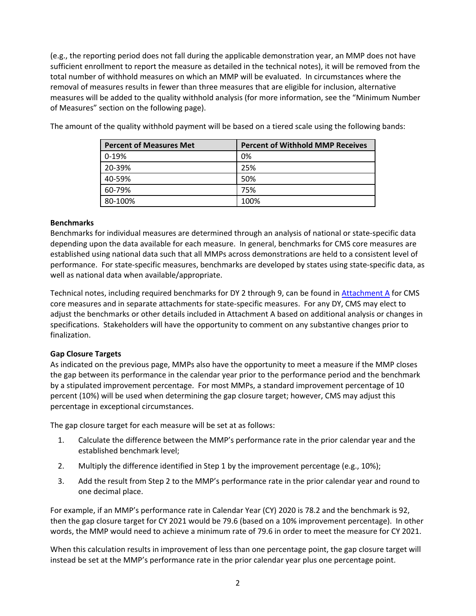(e.g., the reporting period does not fall during the applicable demonstration year, an MMP does not have sufficient enrollment to report the measure as detailed in the technical notes), it will be removed from the total number of withhold measures on which an MMP will be evaluated. In circumstances where the removal of measures results in fewer than three measures that are eligible for inclusion, alternative measures will be added to the quality withhold analysis (for more information, see the "Minimum Number of Measures" section on the following page).

| <b>Percent of Measures Met</b> | <b>Percent of Withhold MMP Receives</b> |
|--------------------------------|-----------------------------------------|
| $0-19%$                        | 0%                                      |
| 20-39%                         | 25%                                     |
| 40-59%                         | 50%                                     |
| 60-79%                         | 75%                                     |
| 80-100%                        | 100%                                    |

The amount of the quality withhold payment will be based on a tiered scale using the following bands:

#### **Benchmarks**

Benchmarks for individual measures are determined through an analysis of national or state-specific data depending upon the data available for each measure. In general, benchmarks for CMS core measures are established using national data such that all MMPs across demonstrations are held to a consistent level of performance. For state-specific measures, benchmarks are developed by states using state-specific data, as well as national data when available/appropriate.

Technical notes, including required benchmarks for DY 2 through 9, can be found i[n Attachment A](#page-5-0) for CMS core measures and in separate attachments for state-specific measures. For any DY, CMS may elect to adjust the benchmarks or other details included in Attachment A based on additional analysis or changes in specifications. Stakeholders will have the opportunity to comment on any substantive changes prior to finalization.

## **Gap Closure Targets**

As indicated on the previous page, MMPs also have the opportunity to meet a measure if the MMP closes the gap between its performance in the calendar year prior to the performance period and the benchmark by a stipulated improvement percentage. For most MMPs, a standard improvement percentage of 10 percent (10%) will be used when determining the gap closure target; however, CMS may adjust this percentage in exceptional circumstances.

The gap closure target for each measure will be set at as follows:

- 1. Calculate the difference between the MMP's performance rate in the prior calendar year and the established benchmark level;
- 2. Multiply the difference identified in Step 1 by the improvement percentage (e.g., 10%);
- 3. Add the result from Step 2 to the MMP's performance rate in the prior calendar year and round to one decimal place.

For example, if an MMP's performance rate in Calendar Year (CY) 2020 is 78.2 and the benchmark is 92, then the gap closure target for CY 2021 would be 79.6 (based on a 10% improvement percentage). In other words, the MMP would need to achieve a minimum rate of 79.6 in order to meet the measure for CY 2021.

When this calculation results in improvement of less than one percentage point, the gap closure target will instead be set at the MMP's performance rate in the prior calendar year plus one percentage point.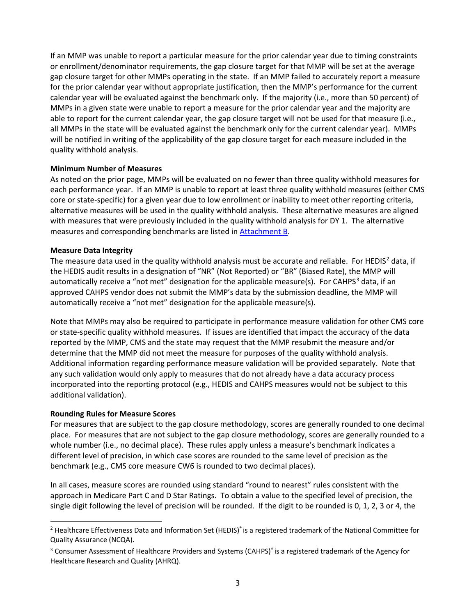If an MMP was unable to report a particular measure for the prior calendar year due to timing constraints or enrollment/denominator requirements, the gap closure target for that MMP will be set at the average gap closure target for other MMPs operating in the state. If an MMP failed to accurately report a measure for the prior calendar year without appropriate justification, then the MMP's performance for the current calendar year will be evaluated against the benchmark only. If the majority (i.e., more than 50 percent) of MMPs in a given state were unable to report a measure for the prior calendar year and the majority are able to report for the current calendar year, the gap closure target will not be used for that measure (i.e., all MMPs in the state will be evaluated against the benchmark only for the current calendar year). MMPs will be notified in writing of the applicability of the gap closure target for each measure included in the quality withhold analysis.

#### **Minimum Number of Measures**

As noted on the prior page, MMPs will be evaluated on no fewer than three quality withhold measures for each performance year. If an MMP is unable to report at least three quality withhold measures (either CMS core or state-specific) for a given year due to low enrollment or inability to meet other reporting criteria, alternative measures will be used in the quality withhold analysis. These alternative measures are aligned with measures that were previously included in the quality withhold analysis for DY 1. The alternative measures and corresponding benchmarks are listed i[n Attachment B.](#page-10-0)

#### **Measure Data Integrity**

The measure data used in the quality withhold analysis must be accurate and reliable. For HEDIS<sup>[2](#page-3-0)</sup> data, if the HEDIS audit results in a designation of "NR" (Not Reported) or "BR" (Biased Rate), the MMP will automatically receive a "not met" designation for the applicable measure(s). For CAHPS<sup>[3](#page-3-1)</sup> data, if an approved CAHPS vendor does not submit the MMP's data by the submission deadline, the MMP will automatically receive a "not met" designation for the applicable measure(s).

Note that MMPs may also be required to participate in performance measure validation for other CMS core or state-specific quality withhold measures. If issues are identified that impact the accuracy of the data reported by the MMP, CMS and the state may request that the MMP resubmit the measure and/or determine that the MMP did not meet the measure for purposes of the quality withhold analysis. Additional information regarding performance measure validation will be provided separately. Note that any such validation would only apply to measures that do not already have a data accuracy process incorporated into the reporting protocol (e.g., HEDIS and CAHPS measures would not be subject to this additional validation).

## **Rounding Rules for Measure Scores**

For measures that are subject to the gap closure methodology, scores are generally rounded to one decimal place. For measures that are not subject to the gap closure methodology, scores are generally rounded to a whole number (i.e., no decimal place). These rules apply unless a measure's benchmark indicates a different level of precision, in which case scores are rounded to the same level of precision as the benchmark (e.g., CMS core measure CW6 is rounded to two decimal places).

In all cases, measure scores are rounded using standard "round to nearest" rules consistent with the approach in Medicare Part C and D Star Ratings. To obtain a value to the specified level of precision, the single digit following the level of precision will be rounded. If the digit to be rounded is 0, 1, 2, 3 or 4, the

<span id="page-3-0"></span><sup>&</sup>lt;sup>2</sup> Healthcare Effectiveness Data and Information Set (HEDIS)<sup>®</sup> is a registered trademark of the National Committee for Quality Assurance (NCQA).

<span id="page-3-1"></span><sup>&</sup>lt;sup>3</sup> Consumer Assessment of Healthcare Providers and Systems (CAHPS)<sup>®</sup> is a registered trademark of the Agency for Healthcare Research and Quality (AHRQ).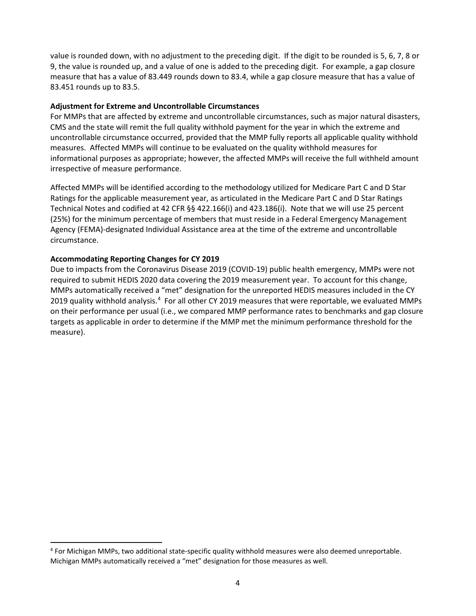value is rounded down, with no adjustment to the preceding digit. If the digit to be rounded is 5, 6, 7, 8 or 9, the value is rounded up, and a value of one is added to the preceding digit. For example, a gap closure measure that has a value of 83.449 rounds down to 83.4, while a gap closure measure that has a value of 83.451 rounds up to 83.5.

#### **Adjustment for Extreme and Uncontrollable Circumstances**

For MMPs that are affected by extreme and uncontrollable circumstances, such as major natural disasters, CMS and the state will remit the full quality withhold payment for the year in which the extreme and uncontrollable circumstance occurred, provided that the MMP fully reports all applicable quality withhold measures. Affected MMPs will continue to be evaluated on the quality withhold measures for informational purposes as appropriate; however, the affected MMPs will receive the full withheld amount irrespective of measure performance.

Affected MMPs will be identified according to the methodology utilized for Medicare Part C and D Star Ratings for the applicable measurement year, as articulated in the Medicare Part C and D Star Ratings Technical Notes and codified at 42 CFR §§ 422.166(i) and 423.186(i). Note that we will use 25 percent (25%) for the minimum percentage of members that must reside in a Federal Emergency Management Agency (FEMA)-designated Individual Assistance area at the time of the extreme and uncontrollable circumstance.

## **Accommodating Reporting Changes for CY 2019**

Due to impacts from the Coronavirus Disease 2019 (COVID-19) public health emergency, MMPs were not required to submit HEDIS 2020 data covering the 2019 measurement year. To account for this change, MMPs automatically received a "met" designation for the unreported HEDIS measures included in the CY 2019 quality withhold analysis.<sup>[4](#page-4-0)</sup> For all other CY 2019 measures that were reportable, we evaluated MMPs on their performance per usual (i.e., we compared MMP performance rates to benchmarks and gap closure targets as applicable in order to determine if the MMP met the minimum performance threshold for the measure).

<span id="page-4-0"></span> <sup>4</sup> For Michigan MMPs, two additional state-specific quality withhold measures were also deemed unreportable. Michigan MMPs automatically received a "met" designation for those measures as well.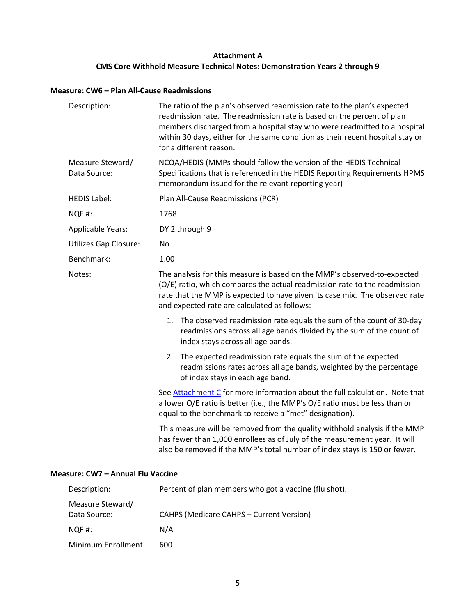## **Attachment A CMS Core Withhold Measure Technical Notes: Demonstration Years 2 through 9**

## <span id="page-5-0"></span>**Measure: CW6 – Plan All-Cause Readmissions**

| Description:                     | The ratio of the plan's observed readmission rate to the plan's expected<br>readmission rate. The readmission rate is based on the percent of plan<br>members discharged from a hospital stay who were readmitted to a hospital<br>within 30 days, either for the same condition as their recent hospital stay or<br>for a different reason. |  |
|----------------------------------|----------------------------------------------------------------------------------------------------------------------------------------------------------------------------------------------------------------------------------------------------------------------------------------------------------------------------------------------|--|
| Measure Steward/<br>Data Source: | NCQA/HEDIS (MMPs should follow the version of the HEDIS Technical<br>Specifications that is referenced in the HEDIS Reporting Requirements HPMS<br>memorandum issued for the relevant reporting year)                                                                                                                                        |  |
| <b>HEDIS Label:</b>              | Plan All-Cause Readmissions (PCR)                                                                                                                                                                                                                                                                                                            |  |
| NQF#:                            | 1768                                                                                                                                                                                                                                                                                                                                         |  |
| <b>Applicable Years:</b>         | DY 2 through 9                                                                                                                                                                                                                                                                                                                               |  |
| <b>Utilizes Gap Closure:</b>     | No                                                                                                                                                                                                                                                                                                                                           |  |
| Benchmark:                       | 1.00                                                                                                                                                                                                                                                                                                                                         |  |
| Notes:                           | The analysis for this measure is based on the MMP's observed-to-expected<br>(O/E) ratio, which compares the actual readmission rate to the readmission<br>rate that the MMP is expected to have given its case mix. The observed rate<br>and expected rate are calculated as follows:                                                        |  |
|                                  | 1. The observed readmission rate equals the sum of the count of 30-day<br>readmissions across all age bands divided by the sum of the count of<br>index stays across all age bands.                                                                                                                                                          |  |
|                                  | The expected readmission rate equals the sum of the expected<br>2.<br>readmissions rates across all age bands, weighted by the percentage<br>of index stays in each age band.                                                                                                                                                                |  |
|                                  | See Attachment C for more information about the full calculation. Note that<br>a lower O/E ratio is better (i.e., the MMP's O/E ratio must be less than or<br>equal to the benchmark to receive a "met" designation).                                                                                                                        |  |
|                                  | This measure will be removed from the quality withhold analysis if the MMP<br>has fewer than 1,000 enrollees as of July of the measurement year. It will<br>also be removed if the MMP's total number of index stays is 150 or fewer.                                                                                                        |  |

## **Measure: CW7 – Annual Flu Vaccine**

| Description:        | Percent of plan members who got a vaccine (flu shot). |  |
|---------------------|-------------------------------------------------------|--|
| Measure Steward/    |                                                       |  |
| Data Source:        | <b>CAHPS (Medicare CAHPS - Current Version)</b>       |  |
| NQF#:               | N/A                                                   |  |
| Minimum Enrollment: | 600                                                   |  |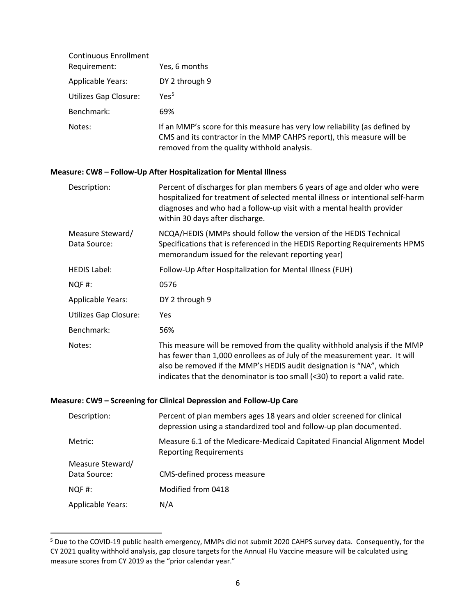| <b>Continuous Enrollment</b><br>Requirement: | Yes, 6 months                                                                                                                                                                                      |
|----------------------------------------------|----------------------------------------------------------------------------------------------------------------------------------------------------------------------------------------------------|
| <b>Applicable Years:</b>                     | DY 2 through 9                                                                                                                                                                                     |
| <b>Utilizes Gap Closure:</b>                 | Yes <sup>5</sup>                                                                                                                                                                                   |
| Benchmark:                                   | 69%                                                                                                                                                                                                |
| Notes:                                       | If an MMP's score for this measure has very low reliability (as defined by<br>CMS and its contractor in the MMP CAHPS report), this measure will be<br>removed from the quality withhold analysis. |

#### **Measure: CW8 – Follow-Up After Hospitalization for Mental Illness**

| Description:                     | Percent of discharges for plan members 6 years of age and older who were<br>hospitalized for treatment of selected mental illness or intentional self-harm<br>diagnoses and who had a follow-up visit with a mental health provider<br>within 30 days after discharge.                                       |
|----------------------------------|--------------------------------------------------------------------------------------------------------------------------------------------------------------------------------------------------------------------------------------------------------------------------------------------------------------|
| Measure Steward/<br>Data Source: | NCQA/HEDIS (MMPs should follow the version of the HEDIS Technical<br>Specifications that is referenced in the HEDIS Reporting Requirements HPMS<br>memorandum issued for the relevant reporting year)                                                                                                        |
| <b>HEDIS Label:</b>              | Follow-Up After Hospitalization for Mental Illness (FUH)                                                                                                                                                                                                                                                     |
| NQF#:                            | 0576                                                                                                                                                                                                                                                                                                         |
| <b>Applicable Years:</b>         | DY 2 through 9                                                                                                                                                                                                                                                                                               |
| <b>Utilizes Gap Closure:</b>     | <b>Yes</b>                                                                                                                                                                                                                                                                                                   |
| Benchmark:                       | 56%                                                                                                                                                                                                                                                                                                          |
| Notes:                           | This measure will be removed from the quality withhold analysis if the MMP<br>has fewer than 1,000 enrollees as of July of the measurement year. It will<br>also be removed if the MMP's HEDIS audit designation is "NA", which<br>indicates that the denominator is too small (<30) to report a valid rate. |

#### **Measure: CW9 – Screening for Clinical Depression and Follow-Up Care**

| Description:             | Percent of plan members ages 18 years and older screened for clinical<br>depression using a standardized tool and follow-up plan documented. |
|--------------------------|----------------------------------------------------------------------------------------------------------------------------------------------|
| Metric:                  | Measure 6.1 of the Medicare-Medicaid Capitated Financial Alignment Model<br><b>Reporting Requirements</b>                                    |
| Measure Steward/         |                                                                                                                                              |
| Data Source:             | CMS-defined process measure                                                                                                                  |
| $NOF$ #:                 | Modified from 0418                                                                                                                           |
| <b>Applicable Years:</b> | N/A                                                                                                                                          |

<span id="page-6-0"></span><sup>&</sup>lt;sup>5</sup> Due to the COVID-19 public health emergency, MMPs did not submit 2020 CAHPS survey data. Consequently, for the CY 2021 quality withhold analysis, gap closure targets for the Annual Flu Vaccine measure will be calculated using measure scores from CY 2019 as the "prior calendar year."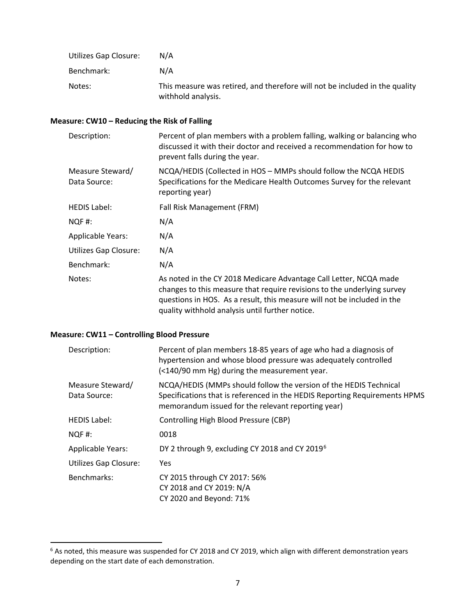| Utilizes Gap Closure: | N/A                                                                                               |
|-----------------------|---------------------------------------------------------------------------------------------------|
| Benchmark:            | N/A                                                                                               |
| Notes:                | This measure was retired, and therefore will not be included in the quality<br>withhold analysis. |

## **Measure: CW10 – Reducing the Risk of Falling**

| Description:                     | Percent of plan members with a problem falling, walking or balancing who<br>discussed it with their doctor and received a recommendation for how to<br>prevent falls during the year.                                                                                      |
|----------------------------------|----------------------------------------------------------------------------------------------------------------------------------------------------------------------------------------------------------------------------------------------------------------------------|
| Measure Steward/<br>Data Source: | NCQA/HEDIS (Collected in HOS - MMPs should follow the NCQA HEDIS<br>Specifications for the Medicare Health Outcomes Survey for the relevant<br>reporting year)                                                                                                             |
| <b>HEDIS Label:</b>              | Fall Risk Management (FRM)                                                                                                                                                                                                                                                 |
| NQF#:                            | N/A                                                                                                                                                                                                                                                                        |
| <b>Applicable Years:</b>         | N/A                                                                                                                                                                                                                                                                        |
| <b>Utilizes Gap Closure:</b>     | N/A                                                                                                                                                                                                                                                                        |
| Benchmark:                       | N/A                                                                                                                                                                                                                                                                        |
| Notes:                           | As noted in the CY 2018 Medicare Advantage Call Letter, NCQA made<br>changes to this measure that require revisions to the underlying survey<br>questions in HOS. As a result, this measure will not be included in the<br>quality withhold analysis until further notice. |

## **Measure: CW11 – Controlling Blood Pressure**

| Description:                     | Percent of plan members 18-85 years of age who had a diagnosis of<br>hypertension and whose blood pressure was adequately controlled<br>(<140/90 mm Hg) during the measurement year.                  |
|----------------------------------|-------------------------------------------------------------------------------------------------------------------------------------------------------------------------------------------------------|
| Measure Steward/<br>Data Source: | NCQA/HEDIS (MMPs should follow the version of the HEDIS Technical<br>Specifications that is referenced in the HEDIS Reporting Requirements HPMS<br>memorandum issued for the relevant reporting year) |
| <b>HEDIS Label:</b>              | Controlling High Blood Pressure (CBP)                                                                                                                                                                 |
| NQF#:                            | 0018                                                                                                                                                                                                  |
| Applicable Years:                | DY 2 through 9, excluding CY 2018 and CY 2019 <sup>6</sup>                                                                                                                                            |
| <b>Utilizes Gap Closure:</b>     | Yes.                                                                                                                                                                                                  |
| Benchmarks:                      | CY 2015 through CY 2017: 56%<br>CY 2018 and CY 2019: N/A<br>CY 2020 and Beyond: 71%                                                                                                                   |

<span id="page-7-0"></span> <sup>6</sup> As noted, this measure was suspended for CY 2018 and CY 2019, which align with different demonstration years depending on the start date of each demonstration.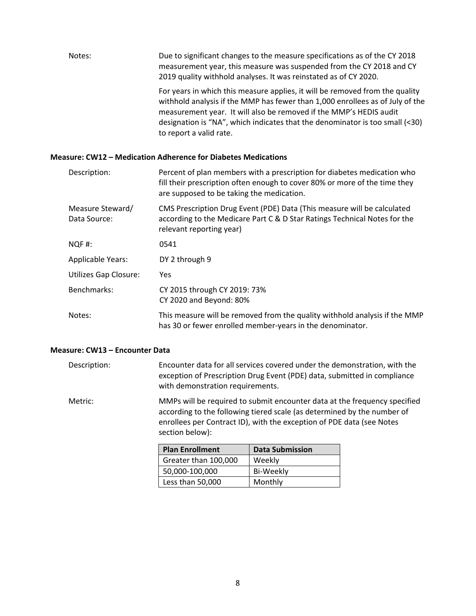| Notes: | Due to significant changes to the measure specifications as of the CY 2018<br>measurement year, this measure was suspended from the CY 2018 and CY<br>2019 quality withhold analyses. It was reinstated as of CY 2020.                                                                                                                         |
|--------|------------------------------------------------------------------------------------------------------------------------------------------------------------------------------------------------------------------------------------------------------------------------------------------------------------------------------------------------|
|        | For years in which this measure applies, it will be removed from the quality<br>withhold analysis if the MMP has fewer than 1,000 enrollees as of July of the<br>measurement year. It will also be removed if the MMP's HEDIS audit<br>designation is "NA", which indicates that the denominator is too small (<30)<br>to report a valid rate. |

## **Measure: CW12 – Medication Adherence for Diabetes Medications**

| Description:                     | Percent of plan members with a prescription for diabetes medication who<br>fill their prescription often enough to cover 80% or more of the time they<br>are supposed to be taking the medication. |
|----------------------------------|----------------------------------------------------------------------------------------------------------------------------------------------------------------------------------------------------|
| Measure Steward/<br>Data Source: | CMS Prescription Drug Event (PDE) Data (This measure will be calculated<br>according to the Medicare Part C & D Star Ratings Technical Notes for the<br>relevant reporting year)                   |
| NQF#:                            | 0541                                                                                                                                                                                               |
| <b>Applicable Years:</b>         | DY 2 through 9                                                                                                                                                                                     |
| <b>Utilizes Gap Closure:</b>     | Yes.                                                                                                                                                                                               |
| Benchmarks:                      | CY 2015 through CY 2019: 73%<br>CY 2020 and Beyond: 80%                                                                                                                                            |
| Notes:                           | This measure will be removed from the quality withhold analysis if the MMP<br>has 30 or fewer enrolled member-years in the denominator.                                                            |

#### **Measure: CW13 – Encounter Data**

| Description: |                        | Encounter data for all services covered under the demonstration, with the<br>exception of Prescription Drug Event (PDE) data, submitted in compliance<br>with demonstration requirements.                                     |  |  |  |
|--------------|------------------------|-------------------------------------------------------------------------------------------------------------------------------------------------------------------------------------------------------------------------------|--|--|--|
| Metric:      | section below):        | MMPs will be required to submit encounter data at the frequency specified<br>according to the following tiered scale (as determined by the number of<br>enrollees per Contract ID), with the exception of PDE data (see Notes |  |  |  |
|              | <b>Plan Enrollment</b> | <b>Data Submission</b>                                                                                                                                                                                                        |  |  |  |
|              | Greater than 100,000   | Weekly                                                                                                                                                                                                                        |  |  |  |

| <b>Plan Enrollment</b> | <b>Data Submission</b> |
|------------------------|------------------------|
| Greater than 100,000   | Weekly                 |
| 50,000-100,000         | Bi-Weekly              |
| Less than 50,000       | Monthly                |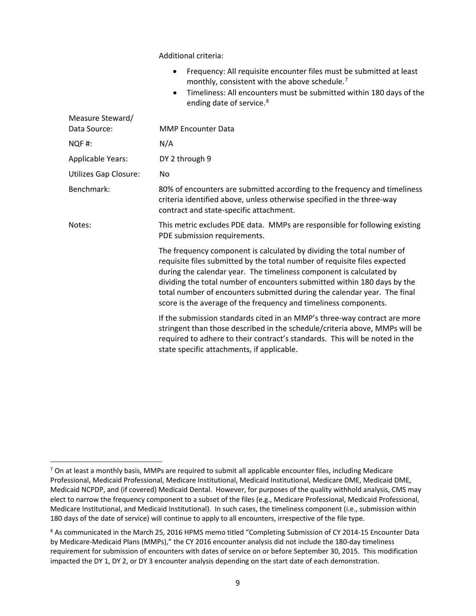Additional criteria:

- Frequency: All requisite encounter files must be submitted at least monthly, consistent with the above schedule.<sup>[7](#page-9-0)</sup>
- Timeliness: All encounters must be submitted within 180 days of the ending date of service.<sup>[8](#page-9-1)</sup>

| Measure Steward/             |                                                                                                                                                                                                                                                                                                                                                                                                                                                       |  |  |
|------------------------------|-------------------------------------------------------------------------------------------------------------------------------------------------------------------------------------------------------------------------------------------------------------------------------------------------------------------------------------------------------------------------------------------------------------------------------------------------------|--|--|
| Data Source:                 | <b>MMP Encounter Data</b>                                                                                                                                                                                                                                                                                                                                                                                                                             |  |  |
| NQF#:                        | N/A                                                                                                                                                                                                                                                                                                                                                                                                                                                   |  |  |
| <b>Applicable Years:</b>     | DY 2 through 9                                                                                                                                                                                                                                                                                                                                                                                                                                        |  |  |
| <b>Utilizes Gap Closure:</b> | No                                                                                                                                                                                                                                                                                                                                                                                                                                                    |  |  |
| Benchmark:                   | 80% of encounters are submitted according to the frequency and timeliness<br>criteria identified above, unless otherwise specified in the three-way<br>contract and state-specific attachment.                                                                                                                                                                                                                                                        |  |  |
| Notes:                       | This metric excludes PDE data. MMPs are responsible for following existing<br>PDE submission requirements.                                                                                                                                                                                                                                                                                                                                            |  |  |
|                              | The frequency component is calculated by dividing the total number of<br>requisite files submitted by the total number of requisite files expected<br>during the calendar year. The timeliness component is calculated by<br>dividing the total number of encounters submitted within 180 days by the<br>total number of encounters submitted during the calendar year. The final<br>score is the average of the frequency and timeliness components. |  |  |
|                              | If the submission standards cited in an MMP's three-way contract are more<br>stringent than those described in the schedule/criteria above, MMPs will be<br>required to adhere to their contract's standards. This will be noted in the<br>state specific attachments, if applicable.                                                                                                                                                                 |  |  |

<span id="page-9-0"></span> $7$  On at least a monthly basis, MMPs are required to submit all applicable encounter files, including Medicare Professional, Medicaid Professional, Medicare Institutional, Medicaid Institutional, Medicare DME, Medicaid DME, Medicaid NCPDP, and (if covered) Medicaid Dental. However, for purposes of the quality withhold analysis, CMS may elect to narrow the frequency component to a subset of the files (e.g., Medicare Professional, Medicaid Professional, Medicare Institutional, and Medicaid Institutional). In such cases, the timeliness component (i.e., submission within 180 days of the date of service) will continue to apply to all encounters, irrespective of the file type.

<span id="page-9-1"></span><sup>&</sup>lt;sup>8</sup> As communicated in the March 25, 2016 HPMS memo titled "Completing Submission of CY 2014-15 Encounter Data by Medicare-Medicaid Plans (MMPs)," the CY 2016 encounter analysis did not include the 180-day timeliness requirement for submission of encounters with dates of service on or before September 30, 2015. This modification impacted the DY 1, DY 2, or DY 3 encounter analysis depending on the start date of each demonstration.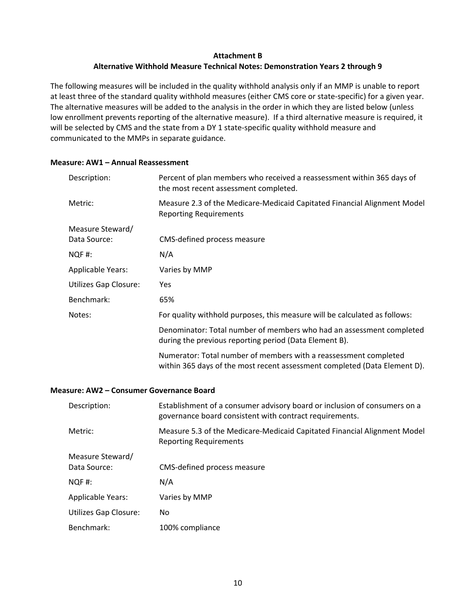## **Attachment B Alternative Withhold Measure Technical Notes: Demonstration Years 2 through 9**

<span id="page-10-0"></span>The following measures will be included in the quality withhold analysis only if an MMP is unable to report at least three of the standard quality withhold measures (either CMS core or state-specific) for a given year. The alternative measures will be added to the analysis in the order in which they are listed below (unless low enrollment prevents reporting of the alternative measure). If a third alternative measure is required, it will be selected by CMS and the state from a DY 1 state-specific quality withhold measure and communicated to the MMPs in separate guidance.

| Description:                 | Percent of plan members who received a reassessment within 365 days of<br>the most recent assessment completed.                               |  |  |
|------------------------------|-----------------------------------------------------------------------------------------------------------------------------------------------|--|--|
| Metric:                      | Measure 2.3 of the Medicare-Medicaid Capitated Financial Alignment Model<br><b>Reporting Requirements</b>                                     |  |  |
| Measure Steward/             |                                                                                                                                               |  |  |
| Data Source:                 | CMS-defined process measure                                                                                                                   |  |  |
| NQF#:                        | N/A                                                                                                                                           |  |  |
| <b>Applicable Years:</b>     | Varies by MMP                                                                                                                                 |  |  |
| <b>Utilizes Gap Closure:</b> | Yes.                                                                                                                                          |  |  |
| Benchmark:                   | 65%                                                                                                                                           |  |  |
| Notes:                       | For quality withhold purposes, this measure will be calculated as follows:                                                                    |  |  |
|                              | Denominator: Total number of members who had an assessment completed<br>during the previous reporting period (Data Element B).                |  |  |
|                              | Numerator: Total number of members with a reassessment completed<br>within 365 days of the most recent assessment completed (Data Element D). |  |  |
|                              |                                                                                                                                               |  |  |

## **Measure: AW1 – Annual Reassessment**

## **Measure: AW2 – Consumer Governance Board**

| Description:                     | Establishment of a consumer advisory board or inclusion of consumers on a<br>governance board consistent with contract requirements. |  |
|----------------------------------|--------------------------------------------------------------------------------------------------------------------------------------|--|
| Metric:                          | Measure 5.3 of the Medicare-Medicaid Capitated Financial Alignment Model<br><b>Reporting Requirements</b>                            |  |
| Measure Steward/<br>Data Source: | CMS-defined process measure                                                                                                          |  |
| $NOF$ #:                         | N/A                                                                                                                                  |  |
| <b>Applicable Years:</b>         | Varies by MMP                                                                                                                        |  |
| <b>Utilizes Gap Closure:</b>     | No                                                                                                                                   |  |
| Benchmark:                       | 100% compliance                                                                                                                      |  |